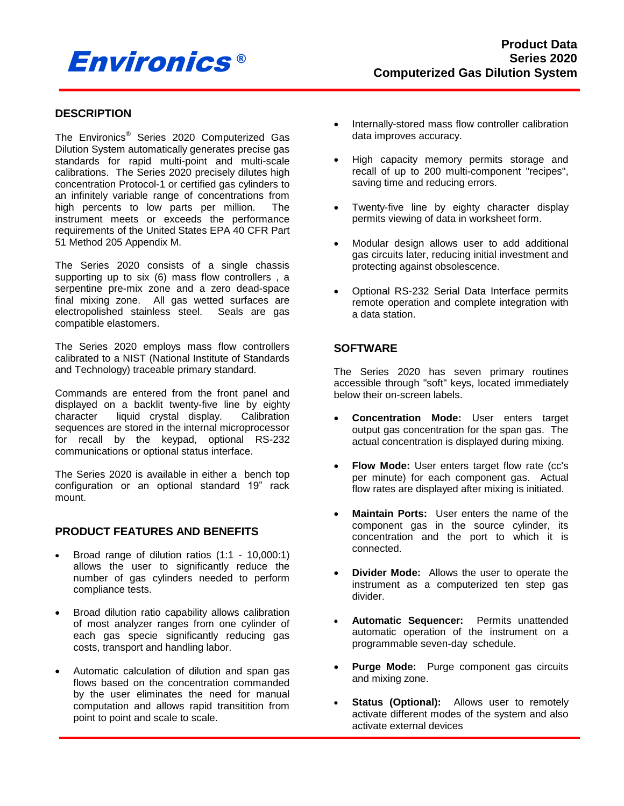# Environics ®

# **DESCRIPTION**

The Environics® Series 2020 Computerized Gas Dilution System automatically generates precise gas standards for rapid multi-point and multi-scale calibrations. The Series 2020 precisely dilutes high concentration Protocol-1 or certified gas cylinders to an infinitely variable range of concentrations from high percents to low parts per million. The instrument meets or exceeds the performance requirements of the United States EPA 40 CFR Part 51 Method 205 Appendix M.

The Series 2020 consists of a single chassis supporting up to six (6) mass flow controllers , a serpentine pre-mix zone and a zero dead-space final mixing zone. All gas wetted surfaces are electropolished stainless steel. Seals are gas compatible elastomers.

The Series 2020 employs mass flow controllers calibrated to a NIST (National Institute of Standards and Technology) traceable primary standard.

Commands are entered from the front panel and displayed on a backlit twenty-five line by eighty character liquid crystal display. Calibration sequences are stored in the internal microprocessor for recall by the keypad, optional RS-232 communications or optional status interface.

The Series 2020 is available in either a bench top configuration or an optional standard 19" rack mount.

# **PRODUCT FEATURES AND BENEFITS**

- Broad range of dilution ratios (1:1 10,000:1) allows the user to significantly reduce the number of gas cylinders needed to perform compliance tests.
- Broad dilution ratio capability allows calibration of most analyzer ranges from one cylinder of each gas specie significantly reducing gas costs, transport and handling labor.
- Automatic calculation of dilution and span gas flows based on the concentration commanded by the user eliminates the need for manual computation and allows rapid transitition from point to point and scale to scale.
- Internally-stored mass flow controller calibration data improves accuracy.
- High capacity memory permits storage and recall of up to 200 multi-component "recipes", saving time and reducing errors.
- Twenty-five line by eighty character display permits viewing of data in worksheet form.
- Modular design allows user to add additional gas circuits later, reducing initial investment and protecting against obsolescence.
- Optional RS-232 Serial Data Interface permits remote operation and complete integration with a data station.

# **SOFTWARE**

The Series 2020 has seven primary routines accessible through "soft" keys, located immediately below their on-screen labels.

- **Concentration Mode:** User enters target output gas concentration for the span gas. The actual concentration is displayed during mixing.
- **Flow Mode:** User enters target flow rate (cc's per minute) for each component gas. Actual flow rates are displayed after mixing is initiated.
- **Maintain Ports:** User enters the name of the component gas in the source cylinder, its concentration and the port to which it is connected.
- **Divider Mode:** Allows the user to operate the instrument as a computerized ten step gas divider.
- **Automatic Sequencer:** Permits unattended automatic operation of the instrument on a programmable seven-day schedule.
- **Purge Mode:** Purge component gas circuits and mixing zone.
- **Status (Optional):** Allows user to remotely activate different modes of the system and also activate external devices